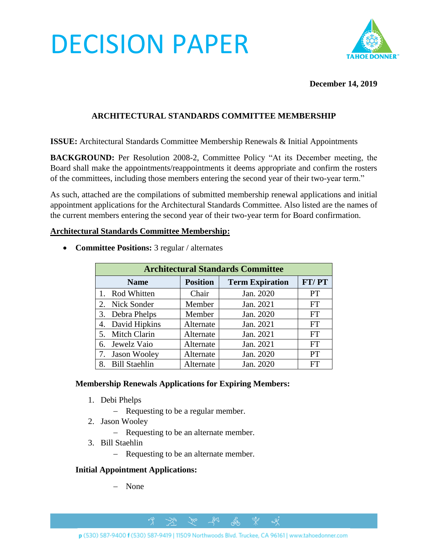# DECISION PAPER



#### **December 14, 2019**

### **ARCHITECTURAL STANDARDS COMMITTEE MEMBERSHIP**

**ISSUE:** Architectural Standards Committee Membership Renewals & Initial Appointments

**BACKGROUND:** Per Resolution 2008-2, Committee Policy "At its December meeting, the Board shall make the appointments/reappointments it deems appropriate and confirm the rosters of the committees, including those members entering the second year of their two-year term."

As such, attached are the compilations of submitted membership renewal applications and initial appointment applications for the Architectural Standards Committee. Also listed are the names of the current members entering the second year of their two-year term for Board confirmation.

#### **Architectural Standards Committee Membership:**

| <b>Architectural Standards Committee</b> |                 |                        |           |
|------------------------------------------|-----------------|------------------------|-----------|
| <b>Name</b>                              | <b>Position</b> | <b>Term Expiration</b> | FT/PT     |
| Rod Whitten                              | Chair           | Jan. 2020              | <b>PT</b> |
| Nick Sonder<br>$2_{\cdot}$               | Member          | Jan. 2021              | <b>FT</b> |
| Debra Phelps<br>3.                       | Member          | Jan. 2020              | <b>FT</b> |
| David Hipkins<br>4.                      | Alternate       | Jan. 2021              | <b>FT</b> |
| <b>Mitch Clarin</b><br>5.                | Alternate       | Jan. 2021              | <b>FT</b> |
| Jewelz Vaio<br>6.                        | Alternate       | Jan. 2021              | <b>FT</b> |
| Jason Wooley                             | Alternate       | Jan. 2020              | <b>PT</b> |
| <b>Bill Staehlin</b>                     | Alternate       | Jan. 2020              | FT        |

• **Committee Positions:** 3 regular / alternates

#### **Membership Renewals Applications for Expiring Members:**

- 1. Debi Phelps
	- − Requesting to be a regular member.
- 2. Jason Wooley
	- − Requesting to be an alternate member.
- 3. Bill Staehlin
	- − Requesting to be an alternate member.

#### **Initial Appointment Applications:**

− None

 $281$ 

 $\gamma$ 

 $\rightarrow$ 

ᢞ

 $\alpha$ 

ക്ക്